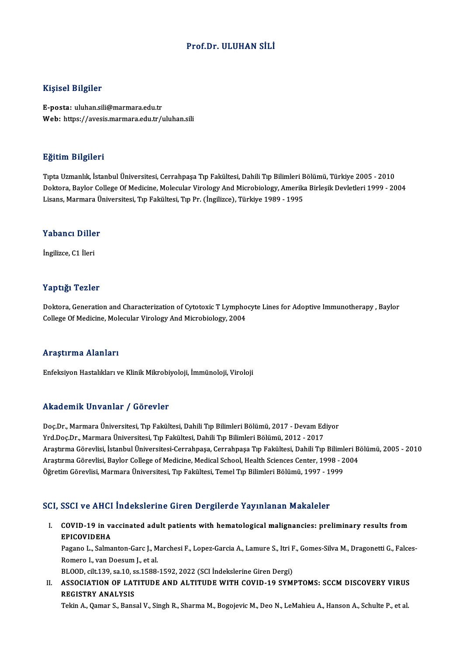### Prof.Dr. ULUHAN SİLİ

### Kişisel Bilgiler

E-posta: uluhan.sili@marmara.edu.tr Web: https://avesis.marmara.edu.tr/uluhan.sili

### Eğitim Bilgileri

TıptaUzmanlık, İstanbulÜniversitesi,CerrahpaşaTıp Fakültesi,DahiliTıpBilimleriBölümü,Türkiye 2005 -2010 Doktora, Baylor College Of Medicine, Molecular Virology And Microbiology, Amerika Birleşik Devletleri 1999 - 2004 Lisans,MarmaraÜniversitesi,Tıp Fakültesi,TıpPr. (İngilizce),Türkiye 1989 -1995

## Lisans, marmara u<br>Yabancı Diller Y<mark>abancı Dille</mark><br>İngilizce, C1 İleri

# İngilizce, C1 İleri<br>Yaptığı Tezler

Doktora, Generation and Characterization of Cytotoxic T Lymphocyte Lines for Adoptive Immunotherapy , Baylor College Of Medicine, Molecular Virology And Microbiology, 2004

### Araştırma Alanları

Enfeksiyon Hastalıkları ve Klinik Mikrobiyoloji, İmmünoloji, Viroloji

### Akademik Unvanlar / Görevler

Doc.Dr., Marmara Üniversitesi, Tıp Fakültesi, Dahili Tıp Bilimleri Bölümü, 2017 - Devam Ediyor Yrd.Doç.Dr., Marmara Üniversitesi, Tıp Fakültesi, Dahili Tıp Bilimleri Bölümü, 2012 - 2017 Doç.Dr., Marmara Üniversitesi, Tıp Fakültesi, Dahili Tıp Bilimleri Bölümü, 2017 - Devam Ediyor<br>Yrd.Doç.Dr., Marmara Üniversitesi, Tıp Fakültesi, Dahili Tıp Bilimleri Bölümü, 2012 - 2017<br>Araştırma Görevlisi, İstanbul Üniver Yrd.Doç.Dr., Marmara Üniversitesi, Tıp Fakültesi, Dahili Tıp Bilimleri Bölümü, 2012 - 2017<br>Araştırma Görevlisi, İstanbul Üniversitesi-Cerrahpaşa, Cerrahpaşa Tıp Fakültesi, Dahili Tıp Bilimleri B<br>Araştırma Görevlisi, Baylor Araştırma Görevlisi, İstanbul Üniversitesi-Cerrahpaşa, Cerrahpaşa Tıp Fakültesi, Dahili Tıp Biliml<br>Araştırma Görevlisi, Baylor College of Medicine, Medical School, Health Sciences Center, 1998 - 2<br>Öğretim Görevlisi, Marmar

# Öğretim Görevlisi, Marmara Üniversitesi, Tıp Fakültesi, Temel Tıp Bilimleri Bölümü, 1997 - 1999<br>SCI, SSCI ve AHCI İndekslerine Giren Dergilerde Yayınlanan Makaleler

CI, SSCI ve AHCI İndekslerine Giren Dergilerde Yayınlanan Makaleler<br>I. COVID-19 in vaccinated adult patients with hematological malignancies: preliminary results from<br>ERICOVIDEHA EPICOVIDEHA<br>EPICOVIDEHA<br>EPICOVIDEHA COVID-19 in vaccinated adult patients with hematological malignancies: preliminary results from<br>EPICOVIDEHA<br>Pagano L., Salmanton-Garc J., Marchesi F., Lopez-Garcia A., Lamure S., Itri F., Gomes-Silva M., Dragonetti G., Fal

EPICOVIDEHA<br>Pagano L., Salmanton-Garc J., M<br>Romero I., van Doesum J., et al.<br>PLOOD. silt 139, sp 10, sp 1588. Pagano L., Salmanton-Garc J., Marchesi F., Lopez-Garcia A., Lamure S., Itri F<br>Romero I., van Doesum J., et al.<br>BLOOD, cilt.139, sa.10, ss.1588-1592, 2022 (SCI İndekslerine Giren Dergi)<br>ASSOCIATION OF LATITUDE AND ALTITUDE

Romero I., van Doesum J., et al.<br>BLOOD, cilt.139, sa.10, ss.1588-1592, 2022 (SCI İndekslerine Giren Dergi)<br>II. ASSOCIATION OF LATITUDE AND ALTITUDE WITH COVID-19 SYMPTOMS: SCCM DISCOVERY VIRUS<br>RECISTRY ANALYSIS BLOOD, cilt.139, sa.10, s<br>ASSOCIATION OF LAT<br>REGISTRY ANALYSIS<br>Tekin A. Oemen S. Bang ASSOCIATION OF LATITUDE AND ALTITUDE WITH COVID-19 SYMPTOMS: SCCM DISCOVERY VIRUS<br>REGISTRY ANALYSIS<br>Tekin A., Qamar S., Bansal V., Singh R., Sharma M., Bogojevic M., Deo N., LeMahieu A., Hanson A., Schulte P., et al.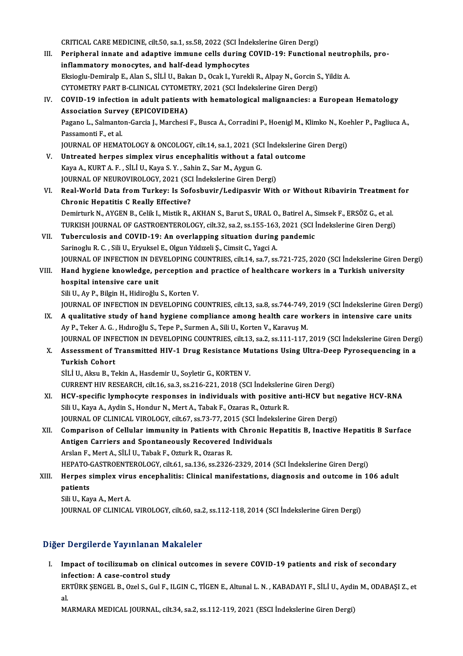CRITICAL CARE MEDICINE, cilt.50, sa.1, ss.58, 2022 (SCI İndekslerine Giren Dergi)<br>Peripharal innata and adaptive immune calls during COVID 10: Eunstians III. Peripheral innate and adaptive immune cells during COVID-19: Functional neutrophils, pro-<br>inflammatory monocytes, and half-dead lymphocytes CRITICAL CARE MEDICINE, cilt.50, sa.1, ss.58, 2022 (SCI inde<br>Peripheral innate and adaptive immune cells during (<br>inflammatory monocytes, and half-dead lymphocytes<br>Elsiesly Demireln E. Alan S. Sti LU, Pelson D. Osel: L. Vu Peripheral innate and adaptive immune cells during COVID-19: Functional neutro<br>inflammatory monocytes, and half-dead lymphocytes<br>Eksioglu-Demiralp E., Alan S., SİLİ U., Bakan D., Ocak I., Yurekli R., Alpay N., Gorcin S., Y inflammatory monocytes, and half-dead lymphocytes<br>Eksioglu-Demiralp E., Alan S., SİLİ U., Bakan D., Ocak I., Yurekli R., Alpay N., Gorcin S<br>CYTOMETRY PART B-CLINICAL CYTOMETRY, 2021 (SCI İndekslerine Giren Dergi)<br>COVID 19 IV. COVID-19 infection in adult patients with hematological malignancies: a European Hematology CYTOMETRY PART B-CLINICAL CYTOMETRY, 2021 (SCI İndekslerine Giren Dergi) Pagano L., Salmanton-Garcia J., Marchesi F., Busca A., Corradini P., Hoenigl M., Klimko N., Koehler P., Pagliuca A.,<br>Passamonti F., et al. Association Survey (EPICOVIDEHA) Pagano L., Salmanton-Garcia J., Marchesi F., Busca A., Corradini P., Hoenigl M., Klimko N., Koe<br>Passamonti F., et al.<br>JOURNAL OF HEMATOLOGY & ONCOLOGY, cilt.14, sa.1, 2021 (SCI İndekslerine Giren Dergi)<br>Untreated bernes si Passamonti F., et al.<br>JOURNAL OF HEMATOLOGY & ONCOLOGY, cilt.14, sa.1, 2021 (SCI Indekslerine<br>V. Untreated herpes simplex virus encephalitis without a fatal outcome<br>Kava A. KURT A. E. SULU Kava S. Y. Sobin 7, Sar M. Avgun JOURNAL OF HEMATOLOGY & ONCOLOGY, cilt.14, sa.1, 2021 (SC<br>Untreated herpes simplex virus encephalitis without a fa<br>Kaya A., KURT A. F. , SİLİ U., Kaya S. Y. , Sahin Z., Sar M., Aygun G.<br>JOUPNAL OF NEUPOVIPOLOGY, 2021 (SCLİ V. Untreated herpes simplex virus encephalitis without a fatal outcome<br>Kaya A., KURT A. F. , SİLİ U., Kaya S. Y. , Sahin Z., Sar M., Aygun G.<br>JOURNAL OF NEUROVIROLOGY, 2021 (SCI İndekslerine Giren Dergi) Kaya A., KURT A. F. , SİLİ U., Kaya S. Y. , Sahin Z., Sar M., Aygun G.<br>JOURNAL OF NEUROVIROLOGY, 2021 (SCI İndekslerine Giren Dergi)<br>VI. Real-World Data from Turkey: Is Sofosbuvir/Ledipasvir With or Without Ribavirin Treat JOURNAL OF NEUROVIROLOGY, 2021 (SC.<br>Real-World Data from Turkey: Is Sof<br>Chronic Hepatitis C Really Effective?<br>Dominturk N. AVGEN B. Colik L Migtik P. Real-World Data from Turkey: Is Sofosbuvir/Ledipasvir With or Without Ribavirin Treatment<br>Chronic Hepatitis C Really Effective?<br>Demirturk N., AYGEN B., Celik I., Mistik R., AKHAN S., Barut S., URAL O., Batirel A., Simsek F Chronic Hepatitis C Really Effective?<br>Demirturk N., AYGEN B., Celik I., Mistik R., AKHAN S., Barut S., URAL O., Batirel A., Simsek F., ERSÖZ G., et al.<br>TURKISH JOURNAL OF GASTROENTEROLOGY, cilt.32, sa.2, ss.155-163, 2021 ( VII. Tuberculosis and COVID-19: An overlapping situation during pandemic Sarinoglu R. C., Sili U., Eryuksel E., Olgun Yıldızeli Ş., Cimsit C., Yagci A. Tuberculosis and COVID-19: An overlapping situation during pandemic<br>Sarinoglu R. C. , Sili U., Eryuksel E., Olgun Yıldızeli Ş., Cimsit C., Yagci A.<br>JOURNAL OF INFECTION IN DEVELOPING COUNTRIES, cilt.14, sa.7, ss.721-725, 2 Sarinoglu R. C. , Sili U., Eryuksel E., Olgun Yıldızeli Ş., Cimsit C., Yagci A.<br>JOURNAL OF INFECTION IN DEVELOPING COUNTRIES, cilt.14, sa.7, ss.721-725, 2020 (SCI İndekslerine Giren D<br>VIII. Hand hygiene knowledge, perc JOURNAL OF INFECTION IN DET<br>Hand hygiene knowledge, po<br>hospital intensive care unit VIII. Hand hygiene knowledge, perception and practice of healthcare workers in a Turkish university<br>hospital intensive care unit<br>Sili U., Ay P., Bilgin H., Hidiroğlu S., Korten V. hospital intensive care unit<br>Sili U., Ay P., Bilgin H., Hidiroğlu S., Korten V.<br>JOURNAL OF INFECTION IN DEVELOPING COUNTRIES, cilt.13, sa.8, ss.744-749, 2019 (SCI İndekslerine Giren Dergi)<br>A qualitative study of band bygio Sili U., Ay P., Bilgin H., Hidiroğlu S., Korten V.<br>JOURNAL OF INFECTION IN DEVELOPING COUNTRIES, cilt.13, sa.8, ss.744-749, 2019 (SCI İndekslerine Giren Der IX.<br>A qualitative study of hand hygiene compliance among health c JOURNAL OF INFECTION IN DEVELOPING COUNTRIES, cilt.13, sa.8, ss.744-749,<br>A qualitative study of hand hygiene compliance among health care work are the M. G. , Hidiroğlu S., Tepe P., Surmen A., Sili U., Korten V., Karavuş M IX. A qualitative study of hand hygiene compliance among health care workers in intensive care units<br>Ay P., Teker A. G. , Hidiroğlu S., Tepe P., Surmen A., Sili U., Korten V., Karavuş M.<br>JOURNAL OF INFECTION IN DEVELOPING Ay P., Teker A. G. , Hıdıroğlu S., Tepe P., Surmen A., Sili U., Korten V., Karavuş M.<br>JOURNAL OF INFECTION IN DEVELOPING COUNTRIES, cilt.13, sa.2, ss.111-117, 2019 (SCI İndekslerine Giren Derg<br>X. Assessment of Transmitted **JOURNAL OF INFI**<br>Assessment of 1<br>Turkish Cohort<br>Siti II Alm P. T Assessment of Transmitted HIV-1 Drug Resistance Mu<br>Turkish Cohort<br>SİLİ U., Aksu B., Tekin A., Hasdemir U., Soyletir G., KORTEN V.<br>CURRENT HIV RESEARCH silt 16 sə 3 sə 316 321 2019 (SCI Turkish Cohort<br>SİLİ U., Aksu B., Tekin A., Hasdemir U., Soyletir G., KORTEN V.<br>CURRENT HIV RESEARCH, cilt.16, sa.3, ss.216-221, 2018 (SCI İndekslerine Giren Dergi) SILI U., Aksu B., Tekin A., Hasdemir U., Soyletir G., KORTEN V.<br>CURRENT HIV RESEARCH, cilt.16, sa.3, ss.216-221, 2018 (SCI Indekslerine Giren Dergi)<br>XI. HCV-specific lymphocyte responses in individuals with positive anti-H CURRENT HIV RESEARCH, cilt.16, sa.3, ss.216-221, 2018 (SCI İndekslerin<br>HCV-specific lymphocyte responses in individuals with positive<br>Sili U., Kaya A., Aydin S., Hondur N., Mert A., Tabak F., Ozaras R., Ozturk R.<br>JOUPMAL O HCV-specific lymphocyte responses in individuals with positive anti-HCV but r<br>Sili U., Kaya A., Aydin S., Hondur N., Mert A., Tabak F., Ozaras R., Ozturk R.<br>JOURNAL OF CLINICAL VIROLOGY, cilt.67, ss.73-77, 2015 (SCI İndeks Sili U., Kaya A., Aydin S., Hondur N., Mert A., Tabak F., Ozaras R., Ozturk R.<br>JOURNAL OF CLINICAL VIROLOGY, cilt.67, ss.73-77, 2015 (SCI İndekslerine Giren Dergi)<br>XII. Comparison of Cellular immunity in Patients with Chro JOURNAL OF CLINICAL VIROLOGY, cilt.67, ss.73-77, 2015 (SCI İndek<br>Comparison of Cellular immunity in Patients with Chronic H<br>Antigen Carriers and Spontaneously Recovered Individuals<br>Anslap E. Mort A. Sil İ.H. Tabak E. Oztur Comparison of Cellular immunity in Patients with<br>Antigen Carriers and Spontaneously Recovered<br>Arslan F., Mert A., SİLİ U., Tabak F., Ozturk R., Ozaras R.<br>HERATO CASTROENTEROLOCY silt 61 sə 136 sə 2226 Antigen Carriers and Spontaneously Recovered Individuals<br>Arslan F., Mert A., SİLİ U., Tabak F., Ozturk R., Ozaras R.<br>HEPATO-GASTROENTEROLOGY, cilt.61, sa.136, ss.2326-2329, 2014 (SCI İndekslerine Giren Dergi)<br>Hernes simple Arslan F., Mert A., SİLİ U., Tabak F., Ozturk R., Ozaras R.<br>HEPATO-GASTROENTEROLOGY, cilt.61, sa.136, ss.2326-2329, 2014 (SCI İndekslerine Giren Dergi)<br>XIII. Herpes simplex virus encephalitis: Clinical manifestations, HEPATO-<br>Herpes s<br>patients<br>Sili II Kov Herpes simplex viru<br>patients<br>Sili U., Kaya A., Mert A.<br>JOUPNAL OF CLINICAL patients<br>Sili U., Kaya A., Mert A.<br>JOURNAL OF CLINICAL VIROLOGY, cilt.60, sa.2, ss.112-118, 2014 (SCI İndekslerine Giren Dergi)

### Diğer Dergilerde Yayınlanan Makaleler

Iger Dergilerde Yayınlanan Makaleler<br>I. Impact of tocilizumab on clinical outcomes in severe COVID-19 patients and risk of secondary<br>infection: A sees sontrol study infection: A case-control study<br>infection: A case-control study<br>EPTUPL SENGEL B OTALS COLE L Impact of tocilizumab on clinical outcomes in severe COVID-19 patients and risk of secondary<br>infection: A case-control study<br>ERTÜRK ŞENGEL B., Ozel S., Gul F., ILGIN C., TİGEN E., Altunal L. N. , KABADAYI F., SİLİ U., Aydi

int<br>ER<br>al. ERTÜRK ŞENGEL B., Ozel S., Gul F., ILGIN C., TİGEN E., Altunal L. N. , KABADAYI F., SİLİ U., Aydi:<br>al.<br>MARMARA MEDICAL JOURNAL, cilt.34, sa.2, ss.112-119, 2021 (ESCI İndekslerine Giren Dergi)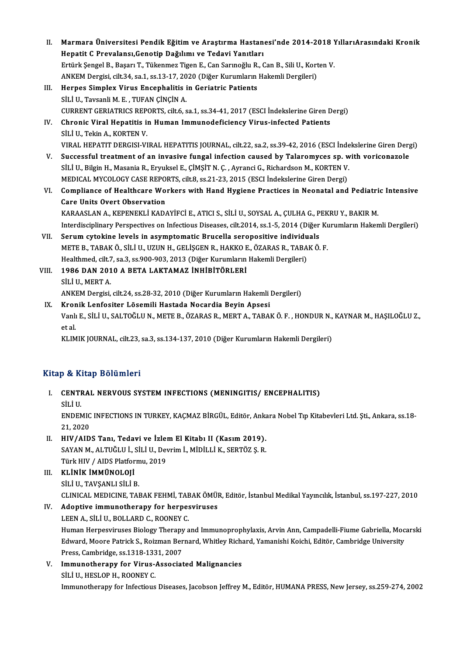- II. Marmara Üniversitesi Pendik Eğitim ve Araştırma Hastanesi'nde 2014-2018 YıllarıArasındaki Kronik<br>Hanatit G Prevslana: Canatin Dağılımı ve Tadavi Yanıtları Marmara Üniversitesi Pendik Eğitim ve Araştırma Hastan<br>Hepatit C Prevalansı,Genotip Dağılımı ve Tedavi Yanıtları<br>Ertürk Sengel B. Basarı T. Tülsarmaz Tigan E. Can Sarmağlu B. G Marmara Üniversitesi Pendik Eğitim ve Araştırma Hastanesi'nde 2014-2018 Y<br>Hepatit C Prevalansı,Genotip Dağılımı ve Tedavi Yanıtları<br>Ertürk Şengel B., Başarı T., Tükenmez Tigen E., Can Sarınoğlu R., Can B., Sili U., Korten Hepatit C Prevalansı,Genotip Dağılımı ve Tedavi Yanıtları<br>Ertürk Şengel B., Başarı T., Tükenmez Tigen E., Can Sarınoğlu R., Can B., Sili U., Korten V.<br>ANKEM Dergisi, cilt.34, sa.1, ss.13-17, 2020 (Diğer Kurumların Hakemli
- III. Herpes Simplex Virus Encephalitis in Geriatric Patients SİLİ U., Tavsanli M. E., TUFAN ÇİNÇİN A. Herpes Simplex Virus Encephalitis in Geriatric Patients<br>SİLİ U., Tavsanli M. E. , TUFAN ÇİNÇİN A.<br>CURRENT GERIATRICS REPORTS, cilt.6, sa.1, ss.34-41, 2017 (ESCI İndekslerine Giren Dergi)<br>Chronis Viral Henatitis in Human Im
- IV. Chronic Viral Hepatitis in Human Immunodeficiency Virus-infected Patients **CURRENT GERIATRICS REP<br>Chronic Viral Hepatitis in<br>SİLİ U., Tekin A., KORTEN V.<br>VIRAL HERATIT DERCISI VI** Chronic Viral Hepatitis in Human Immunodeficiency Virus-infected Patients<br>SİLİ U., Tekin A., KORTEN V.<br>VIRAL HEPATIT DERGISI-VIRAL HEPATITIS JOURNAL, cilt.22, sa.2, ss.39-42, 2016 (ESCI İndekslerine Giren Dergi)<br>Suesessful SİLİ U., Tekin A., KORTEN V.<br>VIRAL HEPATIT DERGISI-VIRAL HEPATITIS JOURNAL, cilt.22, sa.2, ss.39-42, 2016 (ESCI İndekslerine Giren Derg<br>V. Successful treatment of an invasive fungal infection caused by Talaromyces sp. with
- VIRAL HEPATIT DERGISI-VIRAL HEPATITIS JOURNAL, cilt.22, sa.2, ss.39-42, 2016 (ESCI İnde<br>Successful treatment of an invasive fungal infection caused by Talaromyces sp. w<br>SİLİ U., Bilgin H., Masania R., Eryuksel E., ÇİMŞİT N V. Successful treatment of an invasive fungal infection caused by Talaromyces sp. with voriconazole<br>SILI U., Bilgin H., Masania R., Eryuksel E., ÇIMŞİT N. Ç. , Ayranci G., Richardson M., KORTEN V.<br>MEDICAL MYCOLOGY CASE REP SILI U., Bilgin H., Masania R., Eryuksel E., ÇİMŞİT N. Ç. , Ayranci G., Richardson M., KORTEN V.<br>MEDICAL MYCOLOGY CASE REPORTS, cilt.8, ss.21-23, 2015 (ESCI İndekslerine Giren Dergi)<br>VI. Compliance of Healthcare Workers wi
- MEDICAL MYCOLOGY CASE REPO<br>Compliance of Healthcare Wo:<br>Care Units Overt Observation<br>KARAASLAN A. KERENEKLI KARA Compliance of Healthcare Workers with Hand Hygiene Practices in Neonatal and Pediatri<br>Care Units Overt Observation<br>KARAASLAN A., KEPENEKLİ KADAYİFCİ E., ATICI S., SİLİ U., SOYSAL A., ÇULHA G., PEKRU Y., BAKIR M.<br>Interdissi Care Units Overt Observation<br>KARAASLAN A., KEPENEKLİ KADAYİFCİ E., ATICI S., SİLİ U., SOYSAL A., ÇULHA G., PEKRU Y., BAKIR M.<br>Interdisciplinary Perspectives on Infectious Diseases, cilt.2014, ss.1-5, 2014 (Diğer Kurumların KARAASLAN A., KEPENEKLI KADAYIFCI E., ATICI S., SILI U., SOYSAL A., ÇULHA G., P<br>Interdisciplinary Perspectives on Infectious Diseases, cilt.2014, ss.1-5, 2014 (Diğer<br>VII. Serum cytokine levels in asymptomatic Brucella sero
- Interdisciplinary Perspectives on Infectious Diseases, cilt.2014, ss.1-5, 2014 (Diğer Kurumların Hakemli Dergileri)<br>Serum cytokine levels in asymptomatic Brucella seropositive individuals<br>METE B., TABAK Ö., SİLİ U., UZUN H Serum cytokine levels in asymptomatic Brucella seropositive individu<br>METE B., TABAK Ö., SİLİ U., UZUN H., GELİŞGEN R., HAKKO E., ÖZARAS R., TABA<br>Healthmed, cilt.7, sa.3, ss.900-903, 2013 (Diğer Kurumların Hakemli Dergileri METE B., TABAK Ö., SİLİ U., UZUN H., GELİŞGEN R., HAKKO E<br>Healthmed, cilt.7, sa.3, ss.900-903, 2013 (Diğer Kurumların<br>VIII. 1986 DAN 2010 A BETA LAKTAMAZ İNHİBİTÖRLERİ<br>siri U. MERT A
- Healthmed, cilt.<br>1986 DAN 201<br>SİLİ U., MERT A.<br>ANKEM Dergisi 1986 DAN 2010 A BETA LAKTAMAZ İNHİBİTÖRLERİ<br>SİLİ U., MERT A.<br>ANKEM Dergisi, cilt.24, ss.28-32, 2010 (Diğer Kurumların Hakemli Dergileri) SİLİ U., MERT A.<br>ANKEM Dergisi, cilt.24, ss.28-32, 2010 (Diğer Kurumların Hakemli IX.<br>IX. Kronik Lenfositer Lösemili Hastada Nocardia Beyin Apsesi<br>Vanlı E. SİLİ II. SALTOČLUN, METER, ÖZARAS R. MERT A. TARAL
- ANKEM Dergisi, cilt.24, ss.28-32, 2010 (Diğer Kurumların Hakemli Dergileri)<br><mark>Kronik Lenfositer Lösemili Hastada Nocardia Beyin Apsesi</mark><br>Vanlı E., SİLİ U., SALTOĞLU N., METE B., ÖZARAS R., MERT A., TABAK Ö. F. , HONDUR N., K Kror<br>Vanlı<br>et al.<br>EUM Vanlı E., SİLİ U., SALTOĞLU N., METE B., ÖZARAS R., MERT A., TABAK Ö. F. , HONDUR N.,<br>et al.<br>KLIMIK JOURNAL, cilt.23, sa.3, ss.134-137, 2010 (Diğer Kurumların Hakemli Dergileri)

KLIMIK JOURNAL, cilt.23, sa.3, ss.134-137, 2010 (Diğer Kurumların Hakemli Dergileri)<br>Kitap & Kitap Bölümleri

- Itap & Kitap Bölümleri<br>I. CENTRAL NERVOUS SYSTEM INFECTIONS (MENINGITIS/ ENCEPHALITIS)<br>SULU P & TE<br>CENTI<br>SİLİ U.<br>ENDEN CENTRAL NERVOUS SYSTEM INFECTIONS (MENINGITIS/ ENCEPHALITIS)<br>SİLİ U.<br>ENDEMIC INFECTIONS IN TURKEY, KAÇMAZ BİRGÜL, Editör, Ankara Nobel Tıp Kitabevleri Ltd. Şti., Ankara, ss.18-<br>21.2020 SİLİ U.<br>ENDEMIC<br>21, 2020<br>HIV (AID ENDEMIC INFECTIONS IN TURKEY, KAÇMAZ BİRGÜL, Editör, Anka<br>21, 2020<br>II. HIV/AIDS Tanı, Tedavi ve İzlem El Kitabı II (Kasım 2019).<br>5AYAN M. ALTUĞLU İ. SÜ İ.U. Deyrim İ. MİDİLLİ K. SERTÖZ S. B.
- 21, 2020<br>HIV/AIDS Tanı, Tedavi ve İzlem El Kitabı II (Kasım 2019).<br>SAYAN M., ALTUĞLU İ., SİLİ U., Devrim İ., MİDİLLİ K., SERTÖZ Ş. R.<br>Türk HIV / AIDS Platformu. 2019. HIV/AIDS Tanı, Tedavi ve İzlei<br>SAYAN M., ALTUĞLU İ., SİLİ U., Dev<br>Türk HIV / AIDS Platformu, 2019<br>EL İNİK İMMÜNOLOJİ SAYAN M., ALTUĞLU İ., :<br>Türk HIV / AIDS Platfor<br>III. KLİNİK İMMÜNOLOJİ<br>sil i II. TAVSANLI SİLİ E
- Türk HIV / AIDS Platform<br><mark>KLİNİK İMMÜNOLOJİ</mark><br>SİLİ U., TAVŞANLI SİLİ B.<br>CLINICAL MEDICINE TAL KLİNİK İMMÜNOLOJİ<br>SİLİ U., TAVŞANLI SİLİ B.<br>CLINICAL MEDICINE, TABAK FEHMİ, TABAK ÖMÜR, Editör, İstanbul Medikal Yayıncılık, İstanbul, ss.197-227, 2010<br>Adontiya immunatbarany far barnasyiruses SİLİ U., TAVŞANLI SİLİ B.<br>CLINICAL MEDICINE, TABAK FEHMİ, TABAK ÖMÜ!<br>IV. **Adoptive immunotherapy for herpesviruses**<br>LEEN A., SİLİ U., BOLLARD C., ROONEY C.
- CLINICAL MEDICINE, TABAK FEHMİ, TAE<br>Adoptive immunotherapy for herpes<br>LEEN A., SİLİ U., BOLLARD C., ROONEY C.<br>Human Harnesuimises Bialazu Theranu s Adoptive immunotherapy for herpesviruses<br>LEEN A., SİLİ U., BOLLARD C., ROONEY C.<br>Human Herpesviruses Biology Therapy and Immunoprophylaxis, Arvin Ann, Campadelli-Fiume Gabriella, Mocarski<br>Edward Moere Batrick S. Bojuman Be LEEN A., SİLİ U., BOLLARD C., ROONEY C.<br>Human Herpesviruses Biology Therapy and Immunoprophylaxis, Arvin Ann, Campadelli-Fiume Gabriella, Moc.<br>Edward, Moore Patrick S., Roizman Bernard, Whitley Richard, Yamanishi Koichi, E Human Herpesviruses Biology Therapy<br>Edward, Moore Patrick S., Roizman Ber<br>Press, Cambridge, ss.1318-1331, 2007<br>Immunethereny for Vinue Associat Edward, Moore Patrick S., Roizman Bernard, Whitley Richard, Yamanishi Koichi, Editör, Cambridge University<br>Press, Cambridge, ss.1318-1331, 2007<br>Immunotherapy for Virus-Associated Malignancies<br>SiLi U., HESLOP H., ROONEY C.
- V. Immunotherapy for Virus-Associated Malignancies

Immunotherapy for Infectious Diseases, Jacobson Jeffrey M., Editör, HUMANA PRESS, New Jersey, ss.259-274, 2002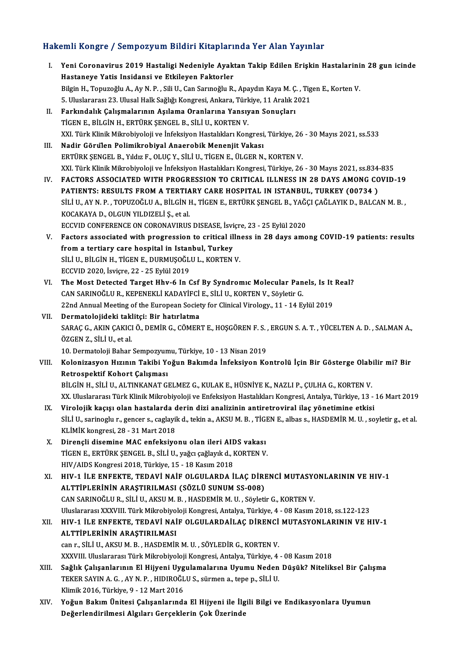### Hakemli Kongre / Sempozyum Bildiri Kitaplarında Yer Alan Yayınlar

akemli Kongre / Sempozyum Bildiri Kitaplarında Yer Alan Yayınlar<br>I. Yeni Coronavirus 2019 Hastaligi Nedeniyle Ayaktan Takip Edilen Erişkin Hastalarinin 28 gun icinde<br>Hastanava Yatis Insidansi ve Etkileven Faktarlar Mastaneye Yatis Insidansi ve Etkileyen Faktorler<br>Hastaneye Yatis Insidansi ve Etkileyen Faktorler<br>Bilgin H. Tonugoğlu A. Ay N. B. Sili II. Can Sannoğlu B. Yeni Coronavirus 2019 Hastaligi Nedeniyle Ayaktan Takip Edilen Erişkin Hastalarini<br>Hastaneye Yatis Insidansi ve Etkileyen Faktorler<br>Bilgin H., Topuzoğlu A., Ay N. P. , Sili U., Can Sarınoğlu R., Apaydın Kaya M. Ç. , Tigen Hastaneye Yatis Insidansi ve Etkileyen Faktorler<br>Bilgin H., Topuzoğlu A., Ay N. P. , Sili U., Can Sarınoğlu R., Apaydın Kaya M. Ç. , Tig<br>5. Uluslararası 23. Ulusal Halk Sağlığı Kongresi, Ankara, Türkiye, 11 Aralık 2021<br>Far Bilgin H., Topuzoğlu A., Ay N. P. , Sili U., Can Sarınoğlu R., Apaydın Kaya M. Ç.<br>5. Uluslararası 23. Ulusal Halk Sağlığı Kongresi, Ankara, Türkiye, 11 Aralık 2<br>II. Farkındalık Çalışmalarının Aşılama Oranlarına Yansıya 5. Uluslararası 23. Ulusal Halk Sağlığı Kongresi, Ankara, Türkiye, 11 Aralık 2021<br>II. Farkındalık Çalışmalarının Aşılama Oranlarına Yansıyan Sonuçları<br>TİGEN E., BİLGİN H., ERTÜRK ŞENGEL B., SİLİ U., KORTEN V. Farkındalık Çalışmalarının Aşılama Oranlarına Yansıyan Sonuçları<br>TİGEN E., BİLGİN H., ERTÜRK ŞENGEL B., SİLİ U., KORTEN V.<br>XXI. Türk Klinik Mikrobiyoloji ve İnfeksiyon Hastalıkları Kongresi, Türkiye, 26 - 30 Mayıs 2021, ss III. Nadir Görülen Polimikrobiyal Anaerobik Menenjit Vakası<br>ERTÜRK ŞENGEL B., Yıldız F., OLUÇ Y., SİLİ U., TİGEN E., ÜLGER N., KORTEN V. XXI. Türk Klinik Mikrobiyoloji ve İnfeksiyon Hastalıkları Kongresi, Türkiye, 26<br>Nadir Görülen Polimikrobiyal Anaerobik Menenjit Vakası<br>ERTÜRK ŞENGEL B., Yıldız F., OLUÇ Y., SİLİ U., TİGEN E., ÜLGER N., KORTEN V.<br>YYL Türk K XXI.TürkKlinikMikrobiyolojive İnfeksiyonHastalıklarıKongresi,Türkiye,26 -30Mayıs2021, ss.834-835 IV. FACTORS ASSOCIATED WITH PROGRESSION TO CRITICAL ILLNESS IN 28 DAYS AMONG COVID-19 XXI. Türk Klinik Mikrobiyoloji ve İnfeksiyon Hastalıkları Kongresi, Türkiye, 26 - 30 Mayıs 2021, ss.834<br>FACTORS ASSOCIATED WITH PROGRESSION TO CRITICAL ILLNESS IN 28 DAYS AMONG CO<br>PATIENTS: RESULTS FROM A TERTIARY CARE HOS FACTORS ASSOCIATED WITH PROGRESSION TO CRITICAL ILLNESS IN 28 DAYS AMONG COVID-19<br>PATIENTS: RESULTS FROM A TERTIARY CARE HOSPITAL IN ISTANBUL, TURKEY (00734 )<br>SİLİ U., AY N. P. , TOPUZOĞLU A., BİLGİN H., TİGEN E., ERTÜRK Ş PATIENTS: RESULTS FROM A TERTIA<br>SİLİ U., AY N. P. , TOPUZOĞLU A., BİLGİN I<br>KOCAKAYA D., OLGUN YILDIZELİ Ş., et al.<br>ECCUID CONEERENCE ON CORONAVIPUS SİLİ U., AY N. P. , TOPUZOĞLU A., BİLGİN H., TİGEN E., ERTÜRK ŞENGEL B., YAĞÇ KOCAKAYA D., OLGUN YILDIZELİ Ş., et al.<br>ECCVID CONFERENCE ON CORONAVIRUS DISEASE, İsviçre, 23 - 25 Eylül 2020<br>Factors associated with prograssio KOCAKAYA D., OLGUN YILDIZELİ Ş., et al.<br>ECCVID CONFERENCE ON CORONAVIRUS DISEASE, İsviçre, 23 - 25 Eylül 2020<br>V. Factors associated with progression to critical illness in 28 days among COVID-19 patients: results<br>from a ECCVID CONFERENCE ON CORONAVIRUS DISEASE, İsviçre, 23 - 25 Eylül 2020<br>Factors associated with progression to critical illness in 28 days ame<br>from a tertiary care hospital in Istanbul, Turkey Factors associated with progression to critical illn<br>from a tertiary care hospital in Istanbul, Turkey<br>SİLİ U., BİLGİN H., TİGEN E., DURMUŞOĞLU L., KORTEN V.<br>ECCUID 2020 İsviere 22 - 25 Fylül 2010 SİLİ U., BİLGİN H., TİGEN E., DURMUŞOĞLU L., KORTEN V.<br>ECCVID 2020. İsvicre, 22 - 25 Evlül 2019 SİLİ U., BİLGİN H., TİGEN E., DURMUŞOĞLU L., KORTEN V.<br>ECCVID 2020, İsviçre, 22 - 25 Eylül 2019<br>VI. The Most Detected Target Hhv-6 In Csf By Syndromic Molecular Panels, Is It Real?<br>CAN SARINOĞLU B. KERENEKLİ KADAVECİ E. Sİ ECCVID 2020, İsviçre, 22 - 25 Eylül 2019<br>The Most Detected Target Hhv-6 In Csf By Syndromic Molecular Pan<br>CAN SARINOĞLU R., KEPENEKLİ KADAYİFCİ E., SİLİ U., KORTEN V., Söyletir G.<br>22nd Annual Meeting of the European Sosist The Most Detected Target Hhv-6 In Csf By Syndromic Molecular Panels, Is It<br>CAN SARINOĞLU R., KEPENEKLİ KADAYİFCİ E., SİLİ U., KORTEN V., Söyletir G.<br>22nd Annual Meeting of the European Society for Clinical Virology., 11 - CAN SARINOĞLU R., KEPENEKLİ KADAYİFCİ E., SİLİ U., KORTEN V., Söyletir G.<br>22nd Annual Meeting of the European Society for Clinical Virology., 11 - 14 Eylül 2019<br>VII. Dermatolojideki taklitçi: Bir hatırlatma 22nd Annual Meeting of the European Society for Clinical Virology., 11 - 14 Eylül 2019<br>Dermatolojideki taklitçi: Bir hatırlatma<br>SARAÇ G., AKIN ÇAKICI Ö., DEMİR G., CÖMERT E., HOŞGÖREN F. S. , ERGUN S. A. T. , YÜCELTEN A. D Dermatolojideki takl<br>SARAÇ G., AKIN ÇAKICI<br>ÖZGEN Z., SİLİ U., et al.<br>10. Dermatoloji Babar SARAÇ G., AKIN ÇAKICI Ö., DEMİR G., CÖMERT E., HOŞGÖREN F. S. ,<br>ÖZGEN Z., SİLİ U., et al.<br>10. Dermatoloji Bahar Sempozyumu, Türkiye, 10 - 13 Nisan 2019<br>Kolonizasyon Hızının Takihi Yoğun Bakımda İnfaksiyon Ko ÖZGEN Z., SİLİ U., et al.<br>10. Dermatoloji Bahar Sempozyumu, Türkiye, 10 - 13 Nisan 2019<br>VIII. Kolonizasyon Hızının Takibi Yoğun Bakımda İnfeksiyon Kontrolü İçin Bir Gösterge Olabilir mi? Bir<br>Retrospektif Kobert Gelisme 10. Dermatoloji Bahar Sempozyum<br>Kolonizasyon Hızının Takibi Yo<br>Retrospektif Kohort Çalışması<br>Pitcin H. Sitti LALTINKANAT Cl Kolonizasyon Hızının Takibi Yoğun Bakımda İnfeksiyon Kontrolü İçin Bir Gösterge Olab<br>Retrospektif Kohort Çalışması<br>BİLGİN H., SİLİ U., ALTINKANAT GELMEZ G., KULAK E., HÜSNİYE K., NAZLI P., ÇULHA G., KORTEN V.<br>YY Uluclarara Retrospektif Kohort Çalışması<br>BİLGİN H., SİLİ U., ALTINKANAT GELMEZ G., KULAK E., HÜSNİYE K., NAZLI P., ÇULHA G., KORTEN V.<br>XX. Uluslararası Türk Klinik Mikrobiyoloji ve Enfeksiyon Hastalıkları Kongresi, Antalya, Türkiye, BİLGİN H., SİLİ U., ALTINKANAT GELMEZ G., KULAK E., HÜSNİYE K., NAZLI P., ÇULHA G., KORTEN V.<br>XX. Uluslararası Türk Klinik Mikrobiyoloji ve Enfeksiyon Hastalıkları Kongresi, Antalya, Türkiye, 13 -<br>IX. Virolojik kaçışı olan XX. Uluslararası Türk Klinik Mikrobiyoloji ve Enfeksiyon Hastalıkları Kongresi, Antalya, Türkiye, 13 - 16 Mart 2019<br>Virolojik kaçışı olan hastalarda derin dizi analizinin antiretroviral ilaç yönetimine etkisi<br>SİLİ U., sari Virolojik kaçışı olan hastalarda d<br>SİLİ U., sarinoglu r., gencer s., caglayil<br>KLİMİK kongresi, 28 - 31 Mart 2018<br>Direngli disemine MAC enfeksiye SİLİ U., sarinoglu r., gencer s., caglayik d., tekin a., AKSU M. B. , TİGEN E., albas s., HASDEMİR M. U. , soyletir g., et al.<br>KLİMİK kongresi, 28 - 31 Mart 2018<br>X. Dirençli disemine MAC enfeksiyonu olan ileri AIDS vak KLİMİK kongresi, 28 - 31 Mart 2018<br>Dirençli disemine MAC enfeksiyonu olan ileri AIDS vakası<br>TİGEN E., ERTÜRK ŞENGEL B., SİLİ U., yağcı çağlayık d., KORTEN V.<br>HIV (AIDS Kongresi 2019, Türkiye 15 - 18 Kesun 2019 Dirençli disemine MAC enfeksiyonu olan ileri AID<br>TİGEN E., ERTÜRK ŞENGEL B., SİLİ U., yağcı çağlayık d., I<br>HIV/AIDS Kongresi 2018, Türkiye, 15 - 18 Kasım 2018<br>HIV 1 İLE ENEEKTE, TEDAVİ NAİE OLGULARDA İ TİGEN E., ERTÜRK ŞENGEL B., SİLİ U., yağcı çağlayık d., KORTEN V.<br>HIV/AIDS Kongresi 2018, Türkiye, 15 - 18 Kasım 2018<br>XI. HIV-1 İLE ENFEKTE, TEDAVİ NAİF OLGULARDA İLAÇ DİRENCİ MUTASYONLARININ VE HIV-1<br>ALTTİPLERİNİN ARASTIR HIV/AIDS Kongresi 2018, Türkiye, 15 - 18 Kasım 2018<br>HIV-1 İLE ENFEKTE, TEDAVİ NAİF OLGULARDA İLAÇ DİRI<br>ALTTİPLERİNIN ARAŞTIRILMASI (SÖZLÜ SUNUM SS-008)<br>CAN SARINOĞLU B. SİLİ IL AKSUM B. HASDEMİR M.U. Söyleti HIV-1 İLE ENFEKTE, TEDAVİ NAİF OLGULARDA İLAÇ DİRENCİ MUTASYONLARININ ARAŞTIRILMASI (SÖZLÜ SUNUM SS-008)<br>CAN SARINOĞLU R., SİLİ U., AKSU M. B. , HASDEMİR M. U. , Söyletir G., KORTEN V.<br>Uluslararacı YYYIII, Türk Milmabiyala ALTTİPLERİNİN ARAŞTIRILMASI (SÖZLÜ SUNUM SS-008)<br>CAN SARINOĞLU R., SİLİ U., AKSU M. B. , HASDEMİR M. U. , Söyletir G., KORTEN V.<br>Uluslararası XXXVIII. Türk Mikrobiyoloji Kongresi, Antalya, Türkiye, 4 - 08 Kasım 2018, ss.12 XI . HIV-1 İLE ENFEKTE, TEDAVİ NAİF OLGULARDAİLAÇ DİRENCİMUTASYONLARININ VE HIV-1 Uluslararası XXXVIII. Türk Mikrobiyol<br>HIV-1 İLE ENFEKTE, TEDAVİ NAİ<br>ALTTİPLERİNİN ARAŞTIRILMASI<br>can r. S<sup>ili III. AKSILM B. HASDEMİR</sub></sup> HIV-1 İLE ENFEKTE, TEDAVİ NAİF OLGULARDAİLAÇ DİRENCİ<br>ALTTİPLERİNİN ARAŞTIRILMASI<br>can r., SİLİ U., AKSU M. B. , HASDEMİR M. U. , SÖYLEDİR G., KORTEN V.<br>YYYVIIL Uluslararası Türk Mikrobiyolaji Kongresi, Antalya Türkiyo 4 ALTTİPLERİNİN ARAŞTIRILMASI<br>can r., SİLİ U., AKSU M. B. , HASDEMİR M. U. , SÖYLEDİR G., KORTEN V.<br>XXXVIII. Uluslararası Türk Mikrobiyoloji Kongresi, Antalya, Türkiye, 4 - 08 Kasım 2018<br>Sağlık Calısanlarının El Hüyeni Hygul can r., SİLİ U., AKSU M. B. , HASDEMİR M. U. , SÖYLEDİR G., KORTEN V.<br>XXXVIII. Uluslararası Türk Mikrobiyoloji Kongresi, Antalya, Türkiye, 4 - 08 Kasım 2018<br>XIII. Sağlık Çalışanlarının El Hijyeni Uygulamalarına Uyumu N XXXVIII. Uluslararası Türk Mikrobiyoloji Kongresi, Antalya, Türkiye, 4<br>Sağlık Çalışanlarının El Hijyeni Uygulamalarına Uyumu Neden<br>TEKER SAYIN A. G. , AY N. P. , HIDIROĞLU S., sürmen a., tepe p., SİLİ U.<br>Klimik 2016, Türki Sağlık Çalışanlarının El Hijyeni Uyg<br>TEKER SAYIN A. G. , AY N. P. , HIDIROĞL<br>Klimik 2016, Türkiye, 9 - 12 Mart 2016<br>Yoğun Bakım Ünitesi Calısanlarında TEKER SAYIN A. G. , AY N. P. , HIDIROĞLU S., sürmen a., tepe p., SİLİ U.<br>Klimik 2016, Türkiye, 9 - 12 Mart 2016<br>XIV. Yoğun Bakım Ünitesi Çalışanlarında El Hijyeni ile İlgili Bilgi ve Endikasyonlara Uyumun<br>Değerlendiril Klimik 2016, Türkiye, 9 - 12 Mart 2016<br>Yoğun Bakım Ünitesi Çalışanlarında El Hijyeni ile İlg<br>Değerlendirilmesi Algıları Gerçeklerin Çok Üzerinde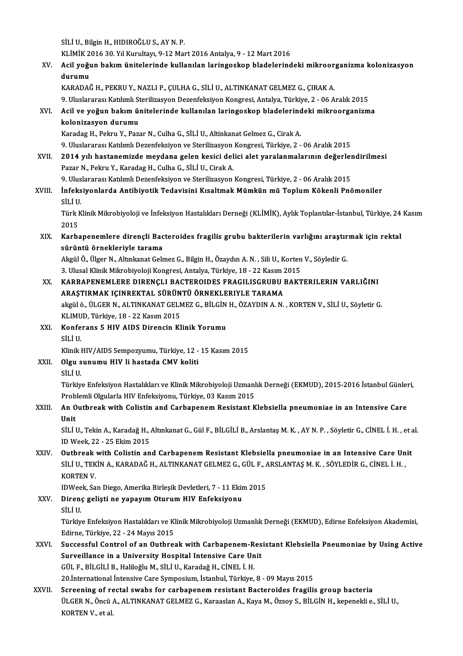SİLİ U., Bilgin H., HIDIROĞLU S., AYN.P.

SİLİ U., Bilgin H., HIDIROĞLU S., AY N. P.<br>KLİMİK 2016 30. Yıl Kurultayı, 9-12 Mart 2016 Antalya, 9 - 12 Mart 2016<br>Asil veğun bakım ünitelerinde kullanılan leringesken bladelerind

SİLİ U., Bilgin H., HIDIROĞLU S., AY N. P.<br>KLİMİK 2016 30. Yıl Kurultayı, 9-12 Mart 2016 Antalya, 9 - 12 Mart 2016<br>XV. Acil yoğun bakım ünitelerinde kullanılan laringoskop bladelerindeki mikroorganizma kolonizasyon<br>dun KLİMİK 2<br>Acil yoğu<br>durumu<br>KARADAÇ Acil yoğun bakım ünitelerinde kullanılan laringoskop bladelerindeki mikroor<br>durumu<br>KARADAĞ H., PEKRU Y., NAZLI P., ÇULHA G., SİLİ U., ALTINKANAT GELMEZ G., ÇIRAK A.<br>9. Uluslararası Katılımlı Starilizasyon Dazanfaksiyon Kon durumu<br>KARADAĞ H., PEKRU Y., NAZLI P., ÇULHA G., SİLİ U., ALTINKANAT GELMEZ G., ÇIRAK A.<br>9. Uluslararası Katılımlı Sterilizasyon Dezenfeksiyon Kongresi, Antalya, Türkiye, 2 - 06 Aralık 2015

KARADAĞ H., PEKRU Y., NAZLI P., ÇULHA G., SİLİ U., ALTINKANAT GELMEZ G., ÇIRAK A.<br>9. Uluslararası Katılımlı Sterilizasyon Dezenfeksiyon Kongresi, Antalya, Türkiye, 2 - 06 Aralık 2015<br>XVI. Acil ve yoğun bakım ünitelerin 9. Uluslararası Katılımlı St<br>Acil <mark>ve yoğun bakım ü</mark>l<br>kolonizasyon durumu<br>Karadas H. Bakru V. Bax Acil ve yoğun bakım ünitelerinde kullanılan laringoskop bladelerind<br>kolonizasyon durumu<br>Karadag H., Pekru Y., Pazar N., Culha G., SİLİ U., Altinkanat Gelmez G., Cirak A.<br>9. Uluslararası Katılımlı Dezenfeksiyon ve Sterilize <mark>kolonizasyon durumu</mark><br>Karadag H., Pekru Y., Pazar N., Culha G., SİLİ U., Altinkanat Gelmez G., Cirak A.<br>9. Uluslararası Katılımlı Dezenfeksiyon ve Sterilizasyon Kongresi, Türkiye, 2 - 06 Aralık 2015<br>2014 yılı hastanamirda

Karadag H., Pekru Y., Pazar N., Culha G., SİLİ U., Altinkanat Gelmez G., Cirak A.<br>9. Uluslararası Katılımlı Dezenfeksiyon ve Sterilizasyon Kongresi, Türkiye, 2 - 06 Aralık 2015<br>XVII. 2014 yılı hastanemizde meydana gelen ke 9. Uluslararası Katılımlı Dezenfeksiyon ve Sterilizasyon<br>2014 yılı hastanemizde meydana gelen kesici del<br>Pazar N., Pekru Y., Karadag H., Culha G., SİLİ U., Cirak A.<br>9. Uluslararası Katılımlı Dezenfeksiyon ve Sterilizasyon 2014 yılı hastanemizde meydana gelen kesici delici alet yaralanmalarının değerler<br>Pazar N., Pekru Y., Karadag H., Culha G., SİLİ U., Cirak A.<br>9. Uluslararası Katılımlı Dezenfeksiyon ve Sterilizasyon Kongresi, Türkiye, 2 -

Pazar N., Pekru Y., Karadag H., Culha G., SİLİ U., Cirak A.<br>9. Uluslararası Katılımlı Dezenfeksiyon ve Sterilizasyon Kongresi, Türkiye, 2 - 06 Aralık 2015<br>XVIII. İnfeksiyonlarda Antibiyotik Tedavisini Kısaltmak Mümkün mü T 9. Ulus<br><mark>İnfeks</mark><br>SİLİ U.<br>Türk K İnfeksiyonlarda Antibiyotik Tedavisini Kısaltmak Mümkün mü Toplum Kökenli Pnömoniler<br>SİLİ U.<br>Türk Klinik Mikrobiyoloji ve İnfeksiyon Hastalıkları Derneği (KLİMİK), Aylık Toplantılar-İstanbul, Türkiye, 24 Kasım

SİLİ U<br>Türk I<br>2015<br>Karba Türk Klinik Mikrobiyoloji ve İnfeksiyon Hastalıkları Derneği (KLİMİK), Aylık Toplantılar-İstanbul, Türkiye, 24<br>2015<br>XIX. Karbapenemlere dirençli Bacteroides fragilis grubu bakterilerin varlığını araştırmak için rektal<br>

2015<br>Karbapenemlere dirençli Bac<br>sürüntü örnekleriyle tarama<br>Akrül Ö. Ülser N. Altrekenst Cek Karbapenemlere dirençli Bacteroides fragilis grubu bakterilerin varlığını araştır<br>sürüntü örnekleriyle tarama<br>Akgül Ö., Ülger N., Altınkanat Gelmez G., Bilgin H., Özaydın A. N. , Sili U., Korten V., Söyledir G.<br><sup>2. Ulugel </sup>

sürüntü örnekleriyle tarama<br>Akgül Ö., Ülger N., Altınkanat Gelmez G., Bilgin H., Özaydın A. N. , Sili U., Korten V., Söyledir G.<br>3. Ulusal Klinik Mikrobiyoloji Kongresi, Antalya, Türkiye, 18 - 22 Kasım 2015

XX. KARBAPENEMLERE DIRENÇLI BACTEROIDES FRAGILISGRUBU BAKTERILERIN VARLIĞINI 3. Ulusal Klinik Mikrobiyoloji Kongresi, Antalya, Türkiye, 18 - 22 Kasım 2<br>KARBAPENEMLERE DIRENÇLI BACTEROIDES FRAGILISGRUBU |<br>ARAŞTIRMAK IÇINREKTAL SÜRÜNTÜ ÖRNEKLERIYLE TARAMA<br>Akril ö. ÜLCEP N. ALTINKANAT CELMEZ C. PİLCİN KARBAPENEMLERE DIRENÇLI BACTEROIDES FRAGILISGRUBU BAKTERILERIN VARLIĞINI<br>ARAŞTIRMAK IÇINREKTAL SÜRÜNTÜ ÖRNEKLERIYLE TARAMA<br>akgülö., ÜLGER N., ALTINKANAT GELMEZ G., BİLGİN H., ÖZAYDIN A. N. , KORTEN V., SİLİ U., Söyletir G. ARAŞTIRMAK IÇINREKTAL SÜRÜN<br>akgül ö., ÜLGER N., ALTINKANAT GELN<br>KLIMUD, Türkiye, 18 - 22 Kasım 2015<br>Konforans 5 HIV, AIDS Dirensin Kl

akgül ö., ÜLGER N., ALTINKANAT GELMEZ G., BİLGİN<br>KLIMUD, Türkiye, 18 - 22 Kasım 2015<br>XXI. Konferans 5 HIV AIDS Direncin Klinik Yorumu<br>stri U KLIMUD, Türkiye, 18 - 22 Kasım 2015<br>Konferans 5 HIV AIDS Direncin Klinik Yorumu<br>SİLİ U.

Klinik HIV/AIDS Sempozyumu, Türkiye, 12 - 15 Kasım 2015

SİLİ U.<br>Klinik HIV/AIDS Sempozyumu, Türkiye, 12 -<br>XXII. Olgu sunumu HIV li hastada CMV koliti<br>sittu Klinik l<br>Olgu s<br>SİLİ U.<br>Türkü SİLİ U.<br>Türkiye Enfeksiyon Hastalıkları ve Klinik Mikrobiyoloji Uzmanlık Derneği (EKMUD), 2015-2016 İstanbul Günleri, SİLİ U.<br>Türkiye Enfeksiyon Hastalıkları ve Klinik Mikrobiyoloji Uzmanl<br>Problemli Olgularla HIV Enfeksiyonu, Türkiye, 03 Kasım 2015<br>An Quthnook with Colistin and Carbanonom Bosistant K

XXIII. An Outbreak with Colistin and Carbapenem Resistant Klebsiella pneumoniae in an Intensive Care<br>Unit Prob<br><mark>An O</mark><br>Unit<br>sit i t An Outbreak with Colistin and Carbapenem Resistant Klebsiella pneumoniae in an Intensive Care<br>Unit<br>SİLİ U., Tekin A., Karadağ H., Altınkanat G., Gül F., BİLGİLİ B., Arslantaş M. K. , AY N. P. , Söyletir G., CİNEL İ. H. , e

Unit<br>SİLİ U., Tekin A., Karadağ H., .<br>ID Week, 22 - 25 Ekim 2015<br>Outhreak with Colistin an SİLİ U., Tekin A., Karadağ H., Altınkanat G., Gül F., BİLGİLİ B., Arslantaş M. K. , AY N. P. , Söyletir G., CİNEL İ. H. , et a<br>ID Week, 22 - 25 Ekim 2015<br>XXIV. Qutbreak with Colistin and Carbapenem Resistant Klebsiella pne

ID Week, 22 - 25 Ekim 2015<br>Outbreak with Colistin and Carbapenem Resistant Klebsiella pneumoniae in an Intensive Care Un<br>SİLİ U., TEKİN A., KARADAĞ H., ALTINKANAT GELMEZ G., GÜL F., ARSLANTAŞ M. K. , SÖYLEDİR G., CİNEL İ. Outbreak<br>SİLİ U., TEK<br>KORTEN V.<br>IDWeek Se SİLİ U., TEKİN A., KARADAĞ H., ALTINKANAT GELMEZ G., GÜL F., *f*<br>KORTEN V.<br>IDWeek, San Diego, Amerika Birleşik Devletleri, 7 - 11 Ekim 2015<br>Pirana gelişti ne yanayım Otunum HIV Enfeksiyeny

- KORTEN V.<br>IDWeek, San Diego, Amerika Birleşik Devletleri, 7 11 Ekir<br>XXV. Direnç gelişti ne yapayım Oturum HIV Enfeksiyonu<br>Siti U IDWee<br><mark>Diren</mark><br>SİLİ U.<br>Türkü. Direnç gelişti ne yapayım Oturum HIV Enfeksiyonu<br>SİLİ U.<br>Türkiye Enfeksiyon Hastalıkları ve Klinik Mikrobiyoloji Uzmanlık Derneği (EKMUD), Edirne Enfeksiyon Akademisi, SİLİ U.<br>Türkiye Enfeksiyon Hastalıkları ve Kl<br>Edirne, Türkiye, 22 - 24 Mayıs 2015<br>Sussessaful Cantral of an Quthres Türkiye Enfeksiyon Hastalıkları ve Klinik Mikrobiyoloji Uzmanlık Derneği (EKMUD), Edirne Enfeksiyon Akademisi,<br>Edirne, Türkiye, 22 - 24 Mayıs 2015<br>XXVI. Successful Control of an Outbreak with Carbapenem-Resistant Klebsiell
- Edirne, Türkiye, 22 24 Mayıs 2015<br>Successful Control of an Outbreak with Carbapenem-Res<br>Surveillance in a University Hospital Intensive Care Unit<br>CÜLE PH CULP Holiloğlu M-SH II Karadağ H-CİNEL İ H Surveillance in a University Hospital Intensive Care Unit GÜL F., BİLGİLİ B., Haliloğlu M., SİLİ U., Karadağ H., CİNEL İ. H. Surveillance in a University Hospital Intensive Care Unit<br>GÜL F., BİLGİLİ B., Haliloğlu M., SİLİ U., Karadağ H., CİNEL İ. H.<br>20.İnternational İntensive Care Symposium, İstanbul, Türkiye, 8 - 09 Mayıs 2015<br>Saneoning of nast GÜL F., BİLGİLİ B., Haliloğlu M., SİLİ U., Karadağ H., CİNEL İ. H.<br>20.İnternational İntensive Care Symposium, İstanbul, Türkiye, 8 - 09 Mayıs 2015<br>XXVII. Screening of rectal swabs for carbapenem resistant Bacteroides fragi
- 20.İnternational İntensive Care Symposium, İstanbul, Türkiye, 8 09 Mayıs 2015<br>Screening of rectal swabs for carbapenem resistant Bacteroides fragilis group bacteria<br>ÜLGER N., Öncü A., ALTINKANAT GELMEZ G., Karaaslan A., S<mark>creening of r</mark>e<br>ÜLGER N., Öncü<br>KORTEN V., et al.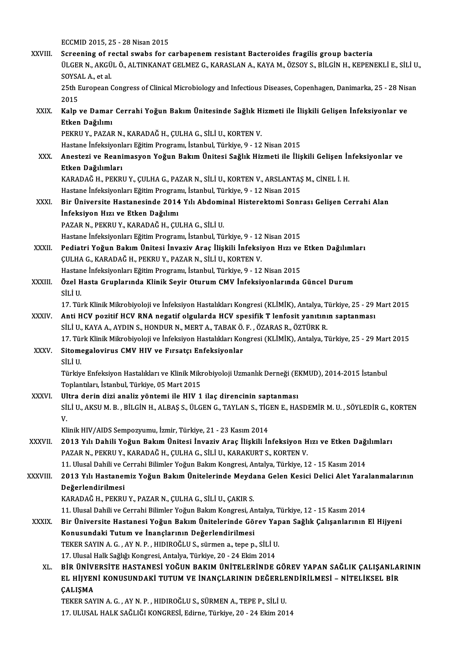ECCMID2015,25 -28Nisan2015 XXVIII. Screening of rectal swabs for carbapenem resistant Bacteroides fragilis group bacteria ECCMID 2015, 25 - 28 Nisan 2015<br>Screening of rectal swabs for carbapenem resistant Bacteroides fragilis group bacteria<br>ÜLGER N., AKGÜL Ö., ALTINKANAT GELMEZ G., KARASLAN A., KAYA M., ÖZSOY S., BİLGİN H., KEPENEKLİ E., SİLİ Screening of re<br>ÜLGER N., AKGÜ<br>SOYSAL A., et al.<br>25th Euroneen ( ÜLGER N., AKGÜL Ö., ALTINKANAT GELMEZ G., KARASLAN A., KAYA M., ÖZSOY S., BİLGİN H., KEPENEKLİ E., SİLİ U.<br>SOYSAL A., et al.<br>25th European Congress of Clinical Microbiology and Infectious Diseases, Copenhagen, Danimarka, 2 SOYSAL A., et al.<br>25th European Congress of Clinical Microbiology and Infectious Diseases, Copenhagen, Danimarka, 25 - 28 Nisan<br>2015 25th European Congress of Clinical Microbiology and Infectious Diseases, Copenhagen, Danimarka, 25 - 28 Nis<br>2015<br>XXIX. Kalp ve Damar Cerrahi Yoğun Bakım Ünitesinde Sağlık Hizmeti ile İlişkili Gelişen İnfeksiyonlar ve<br>Etken 2015<br>Kalp ve Damar<br>Etken Dağılımı<br>PEKPU V. BAZAR Kalp ve Damar Cerrahi Yoğun Bakım Ünitesinde Sağlık H<br>Etken Dağılımı<br>PEKRU Y., PAZAR N., KARADAĞ H., ÇULHA G., SİLİ U., KORTEN V.<br>Hastana İnfaksiyanları Fğitim Pragramı İstanbul Türkiya 9, 12 Etken Dağılımı<br>PEKRU Y., PAZAR N., KARADAĞ H., ÇULHA G., SİLİ U., KORTEN V.<br>Hastane İnfeksiyonları Eğitim Programı, İstanbul, Türkiye, 9 - 12 Nisan 2015<br>Anastari ve Beanimasyon Yoğun Bakım Ünitesi Sağlık Hirmeti ile İlis PEKRU Y., PAZAR N., KARADAĞ H., ÇULHA G., SİLİ U., KORTEN V.<br>Hastane İnfeksiyonları Eğitim Programı, İstanbul, Türkiye, 9 - 12 Nisan 2015<br>XXX. Anestezi ve Reanimasyon Yoğun Bakım Ünitesi Sağlık Hizmeti ile İlişkili Gel Hastane İnfeksiyonl<br>Anestezi ve Reani<br>Etken Dağılımları<br>KARADAČ U. PEKRI Anestezi ve Reanimasyon Yoğun Bakım Ünitesi Sağlık Hizmeti ile İlişkili Gelişen İr<br>Etken Dağılımları<br>KARADAĞ H., PEKRU Y., ÇULHA G., PAZAR N., SİLİ U., KORTEN V., ARSLANTAŞ M., CİNEL İ. H.<br>Hastana İnfaksiyanları Fğitim Pra <mark>Etken Dağılımları</mark><br>KARADAĞ H., PEKRU Y., ÇULHA G., PAZAR N., SİLİ U., KORTEN V., ARSLANTAŞ<br>Hastane İnfeksiyonları Eğitim Programı, İstanbul, Türkiye, 9 - 12 Nisan 2015<br>Pir Üniversite Hastanesinde 2014 Yılı Abdeminal Hista KARADAĞ H., PEKRU Y., ÇULHA G., PAZAR N., SİLİ U., KORTEN V., ARSLANTAŞ M., CİNEL İ. H.<br>Hastane İnfeksiyonları Eğitim Programı, İstanbul, Türkiye, 9 - 12 Nisan 2015<br>XXXI. Bir Üniversite Hastanesinde 2014 Yılı Abdominal His Hastane İnfeksiyonları Eğitim Program<br>Bir Üniversite Hastanesinde 2014<br>İnfeksiyon Hızı ve Etken Dağılımı<br>PAZAR N. PEKRILY, KARADAĞ H. CU Bir Üniversite Hastanesinde 2014 Yılı Abdomi<br>İnfeksiyon Hızı ve Etken Dağılımı<br>PAZAR N., PEKRU Y., KARADAĞ H., ÇULHA G., SİLİ U.<br>Hastana İnfeksiyonları Eğitim Prostamı, İstanbul Tü İnfeksiyon Hızı ve Etken Dağılımı<br>PAZAR N., PEKRU Y., KARADAĞ H., ÇULHA G., SİLİ U.<br>Hastane İnfeksiyonları Eğitim Programı, İstanbul, Türkiye, 9 - 12 Nisan 2015 PAZAR N., PEKRU Y., KARADAĞ H., ÇULHA G., SİLİ U.<br>Hastane İnfeksiyonları Eğitim Programı, İstanbul, Türkiye, 9 - 12 Nisan 2015<br>XXXII. Pediatri Yoğun Bakım Ünitesi İnvaziv Araç İlişkili İnfeksiyon Hızı ve Etken Dağılıml ÇULHAG.,KARADAĞH.,PEKRUY.,PAZARN.,SİLİU.,KORTENV. Pediatri Yoğun Bakım Ünitesi İnvaziv Araç İlişkili İnfeksiyon Hızı ve<br>ÇULHA G., KARADAĞ H., PEKRU Y., PAZAR N., SİLİ U., KORTEN V.<br>Hastane İnfeksiyonları Eğitim Programı, İstanbul, Türkiye, 9 - 12 Nisan 2015<br>Özel Hasta Cru XXXIII. Özel Hasta Gruplarında Klinik Seyir Oturum CMV İnfeksiyonlarında Güncel Durum<br>SİLİ U. Hastane İnfeksiyonları Eğitim Programı, İstanbul, Türkiye, 9 - 12 Nisan 2015 Özel Hasta Gruplarında Klinik Seyir Oturum CMV İnfeksiyonlarında Güncel Durum<br>SİLİ U.<br>17. Türk Klinik Mikrobiyoloji ve İnfeksiyon Hastalıkları Kongresi (KLİMİK), Antalya, Türkiye, 25 - 29 Mart 2015<br>Anti HCV poritif HCV PNA SİLİ U.<br>17. Türk Klinik Mikrobiyoloji ve İnfeksiyon Hastalıkları Kongresi (KLİMİK), Antalya, Türkiye, 25 - 29 |<br>XXXIV. Anti HCV pozitif HCV RNA negatif olgularda HCV spesifik T lenfosit yanıtının saptanması<br>1994-ci i U Anti HCV pozitif HCV RNA negatif olgularda HCV spesifik T lenfosit yanıtının saptanması SİLİ U., KAYA A., AYDIN S., HONDUR N., MERT A., TABAKÖ.F.,ÖZARASR.,ÖZTÜRKR. 17.TürkKlinikMikrobiyolojive İnfeksiyonHastalıklarıKongresi (KLİMİK),Antalya,Türkiye,25 -29Mart2015 SİLİ U., KAYA A., AYDIN S., HONDUR N., MERT A., TABAK Ö.<br>17. Türk Klinik Mikrobiyoloji ve İnfeksiyon Hastalıkları Koı<br>XXXV. Sitomegalovirus CMV HIV ve Fırsatçı Enfeksiyonlar<br>sit tu 17. Tür<br>Sitome<br>SİLİ U.<br>Türkü Sitomegalovirus CMV HIV ve Fırsatçı Enfeksiyonlar<br>SİLİ U.<br>Türkiye Enfeksiyon Hastalıkları ve Klinik Mikrobiyoloji Uzmanlık Derneği (EKMUD), 2014-2015 İstanbul<br>Tenlartları İstanbul Türkiye 05 Mart 2015 SİLİ U.<br>Türkiye Enfeksiyon Hastalıkları ve Klinik Mikı<br>Toplantıları, İstanbul, Türkiye, 05 Mart 2015<br>Ultra denin digi analig yöntemi ile HW 1 XXXVI. Ultra derin dizi analiz yöntemi ile HIV 1 ilaç direncinin saptanması Toplantıları, İstanbul, Türkiye, 05 Mart 2015<br>Ultra derin dizi analiz yöntemi ile HIV 1 ilaç direncinin saptanması<br>SİLİ U., AKSU M. B. , BİLGİN H., ALBAŞ S., ÜLGEN G., TAYLAN S., TİGEN E., HASDEMİR M. U. , SÖYLEDİR G., KOR UI<br>SII<br>V. SİLİ U., AKSU M. B. , BİLGİN H., ALBAŞ S., ÜLGEN G., TAYLAN S., TİG<br>V.<br>Klinik HIV/AIDS Sempozyumu, İzmir, Türkiye, 21 - 23 Kasım 2014<br>2013 Yılı Dabili Yağıya Balum Ünitesi İnvasiy Anas İliskili İr V.<br>Klinik HIV/AIDS Sempozyumu, İzmir, Türkiye, 21 - 23 Kasım 2014<br>XXXVII. 2013 Yılı Dahili Yoğun Bakım Ünitesi İnvaziv Araç İlişkili İnfeksiyon Hızı ve Etken Dağılımları<br>RAZAR N, REKRILY, KARADAĞ H, CULHA C, SİLİ U, KA Klinik HIV/AIDS Sempozyumu, İzmir, Türkiye, 21 - 23 Kasım 2014<br>2013 Yılı Dahili Yoğun Bakım Ünitesi İnvaziv Araç İlişkili İnfeksiyon H<br>PAZAR N., PEKRU Y., KARADAĞ H., ÇULHA G., SİLİ U., KARAKURT S., KORTEN V.<br>11 Hlusal Dah 2013 Yılı Dahili Yoğun Bakım Ünitesi İnvaziv Araç İlişkili İnfeksiyon Hızı ve Etken Dağı<br>PAZAR N., PEKRU Y., KARADAĞ H., ÇULHA G., SİLİ U., KARAKURT S., KORTEN V.<br>11. Ulusal Dahili ve Cerrahi Bilimler Yoğun Bakım Kongresi, PAZAR N., PEKRU Y., KARADAĞ H., ÇULHA G., SİLİ U., KARAKURT S., KORTEN V.<br>11. Ulusal Dahili ve Cerrahi Bilimler Yoğun Bakım Kongresi, Antalya, Türkiye, 12 - 15 Kasım 2014<br>XXXVIII. 2013 Yılı Hastanemiz Yoğun Bakım Üniteleri 11. Ulusal Dahili ve C<br>2013 Yılı Hastaner<br>Değerlendirilmesi<br>KARADAĞ U. PEKRI KARADAĞH.,PEKRUY.,PAZARN.,ÇULHAG.,SİLİU.,ÇAKIRS. De<mark>ğerlendirilmesi</mark><br>KARADAĞ H., PEKRU Y., PAZAR N., ÇULHA G., SİLİ U., ÇAKIR S.<br>11. Ulusal Dahili ve Cerrahi Bilimler Yoğun Bakım Kongresi, Antalya, Türkiye, 12 - 15 Kasım 2014<br>Pir Üniversite Hastanesi Yoğun Bakım Üniteler KARADAĞ H., PEKRU Y., PAZAR N., ÇULHA G., SİLİ U., ÇAKIR S.<br>11. Ulusal Dahili ve Cerrahi Bilimler Yoğun Bakım Kongresi, Antalya, Türkiye, 12 - 15 Kasım 2014<br>XXXIX. Bir Üniversite Hastanesi Yoğun Bakım Ünitelerinde Göre 11. Ulusal Dahili ve Cerrahi Bilimler Yoğun Bakım Kongresi, Aı<br>Bir Üniversite Hastanesi Yoğun Bakım Ünitelerinde Gö:<br>Konusundaki Tutum ve İnançlarının Değerlendirilmesi<br>TEKER SAVIN A.C. AY N.B. HIDIROĞLU S. Gürman a. tanan Bir Üniversite Hastanesi Yoğun Bakım Ünitelerinde Görev Yap<br>Konusundaki Tutum ve İnançlarının Değerlendirilmesi<br>TEKER SAYIN A.G., AY N.P., HIDIROĞLU S., sürmen a., tepe p., SİLİ U.<br>17 Hlucel Hall: Sağlığı Kongresi, Antalya Konusundaki Tutum ve İnançlarının Değerlendirilmesi<br>17. URKER SAYIN A. G. , AY N. P. , HIDIROĞLU S., sürmen a., tepe p., SİLİ U.<br>17. Ulusal Halk Sağlığı Kongresi, Antalya, Türkiye, 20 - 24 Ekim 2014 TEKER SAYIN A. G. , AY N. P. , HIDIROĞLU S., sürmen a., tepe p., SİLİ U.<br>17. Ulusal Halk Sağlığı Kongresi, Antalya, Türkiye, 20 - 24 Ekim 2014<br>XL. BİR ÜNİVERSİTE HASTANESİ YOĞUN BAKIM ÜNİTELERİNDE GÖREV YAPAN SAĞLIK ÇA 17. Ulusal Halk Sağlığı Kongresi, Antalya, Türkiye, 20 - 24 Ekim 2014<br>BİR ÜNİVERSİTE HASTANESİ YOĞUN BAKIM ÜNİTELERİNDE GÖREV YAPAN SAĞLIK ÇALIŞANLAI<br>EL HİJYENİ KONUSUNDAKİ TUTUM VE İNANÇLARININ DEĞERLENDİRİLMESİ – NİTELİK BİR ÜNİVI<br>EL HİJYEN<br>ÇALIŞMA<br>TEKER SAY EL HIJYENI KONUSUNDAKI TUTUM VE İNANÇLARININ DEĞERLENDIRILMESI – NITELIKSEL BIR<br>ÇALIŞMA<br>TEKER SAYIN A. G. , AY N. P. , HIDIROĞLU S., SÜRMEN A., TEPE P., SİLİ U. 17.ULUSALHALKSAĞLIĞIKONGRESİ,Edirne,Türkiye,20 -24Ekim2014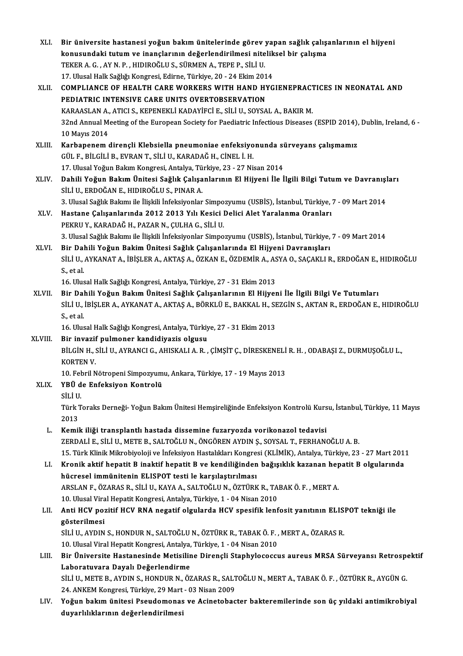| XLI.    | Bir üniversite hastanesi yoğun bakım ünitelerinde görev yapan sağlık çalışanlarının el hijyeni                         |
|---------|------------------------------------------------------------------------------------------------------------------------|
|         | konusundaki tutum ve inançlarının değerlendirilmesi niteliksel bir çalışma                                             |
|         | TEKER A. G., AY N. P., HIDIROĞLU S., SÜRMEN A., TEPE P., SİLİ U.                                                       |
|         | 17. Ulusal Halk Sağlığı Kongresi, Edirne, Türkiye, 20 - 24 Ekim 2014                                                   |
| XLII.   | COMPLIANCE OF HEALTH CARE WORKERS WITH HAND HYGIENEPRACTICES IN NEONATAL AND                                           |
|         | PEDIATRIC INTENSIVE CARE UNITS OVERTOBSERVATION                                                                        |
|         | KARAASLAN A., ATICI S., KEPENEKLI KADAYIFCI E., SILI U., SOYSAL A., BAKIR M.                                           |
|         | 32nd Annual Meeting of the European Society for Paediatric Infectious Diseases (ESPID 2014), Dublin, Ireland, 6 -      |
|         | 10 Mayıs 2014                                                                                                          |
| XLIII.  | Karbapenem dirençli Klebsiella pneumoniae enfeksiyonunda sürveyans çalışmamız                                          |
|         | GÜL F., BİLGİLİ B., EVRAN T., SİLİ U., KARADAĞ H., CİNEL İ. H.                                                         |
|         | 17. Ulusal Yoğun Bakım Kongresi, Antalya, Türkiye, 23 - 27 Nisan 2014                                                  |
| XLIV.   | Dahili Yoğun Bakım Ünitesi Sağlık Çalışanlarının El Hijyeni İle İlgili Bilgi Tutum ve Davranışları                     |
|         | SİLİ U., ERDOĞAN E., HIDIROĞLU S., PINAR A.                                                                            |
|         | 3. Ulusal Sağlık Bakımı ile İlişkili İnfeksiyonlar Simpozyumu (USBİS), İstanbul, Türkiye, 7 - 09 Mart 2014             |
| XLV.    | Hastane Çalışanlarında 2012 2013 Yılı Kesici Delici Alet Yaralanma Oranları                                            |
|         | PEKRU Y., KARADAĞ H., PAZAR N., ÇULHA G., SİLİ U.                                                                      |
|         | 3. Ulusal Sağlık Bakımı ile İlişkili İnfeksiyonlar Simpozyumu (USBİS), İstanbul, Türkiye, 7 - 09 Mart 2014             |
| XLVI.   | Bir Dahili Yoğun Bakim Ünitesi Sağlık Çalışanlarında El Hijyeni Davranışları                                           |
|         | SİLİ U., AYKANAT A., İBİŞLER A., AKTAŞ A., ÖZKAN E., ÖZDEMİR A., ASYA O., SAÇAKLI R., ERDOĞAN E., HIDIROĞLU            |
|         | S, et al.                                                                                                              |
|         | 16. Ulusal Halk Sağlığı Kongresi, Antalya, Türkiye, 27 - 31 Ekim 2013                                                  |
| XLVII.  | Bir Dahili Yoğun Bakım Ünitesi Sağlık Çalışanlarının El Hijyeni İle İlgili Bilgi Ve Tutumları                          |
|         | SİLİ U., İBİŞLER A., AYKANAT A., AKTAŞ A., BÖRKLÜ E., BAKKAL H., SEZGİN S., AKTAN R., ERDOĞAN E., HIDIROĞLU            |
|         | S, et al.                                                                                                              |
|         | 16. Ulusal Halk Sağlığı Kongresi, Antalya, Türkiye, 27 - 31 Ekim 2013                                                  |
| XLVIII. | Bir invazif pulmoner kandidiyazis olgusu                                                                               |
|         | BİLGİN H., SİLİ U., AYRANCI G., AHISKALI A. R., ÇİMŞİT C., DİRESKENELİ R. H., ODABAŞI Z., DURMUŞOĞLU L.,               |
|         | KORTEN V                                                                                                               |
|         | 10. Febril Nötropeni Simpozyumu, Ankara, Türkiye, 17 - 19 Mayıs 2013                                                   |
| XLIX.   | YBÜ de Enfeksiyon Kontrolü<br>SİLİ U                                                                                   |
|         |                                                                                                                        |
|         | Türk Toraks Derneği- Yoğun Bakım Ünitesi Hemşireliğinde Enfeksiyon Kontrolü Kursu, İstanbul, Türkiye, 11 Mayıs<br>2013 |
| L.      | Kemik iliği transplantlı hastada dissemine fuzaryozda vorikonazol tedavisi                                             |
|         | ZERDALI E., SILI U., METE B., SALTOĞLU N., ÖNGÖREN AYDIN Ş., SOYSAL T., FERHANOĞLU A. B.                               |
|         | 15. Türk Klinik Mikrobiyoloji ve İnfeksiyon Hastalıkları Kongresi (KLİMİK), Antalya, Türkiye, 23 - 27 Mart 2011        |
| LI.     | Kronik aktif hepatit B inaktif hepatit B ve kendiliğinden bağışıklık kazanan hepatit B olgularında                     |
|         | hücresel immünitenin ELISPOT testi le karşılaştırılması                                                                |
|         | ARSLAN F., ÖZARAS R., SİLİ U., KAYA A., SALTOĞLU N., ÖZTÜRK R., TABAK Ö. F., MERT A.                                   |
|         | 10. Ulusal Viral Hepatit Kongresi, Antalya, Türkiye, 1 - 04 Nisan 2010                                                 |
| LII.    | Anti HCV pozitif HCV RNA negatif olgularda HCV spesifik lenfosit yanıtının ELISPOT tekniği ile                         |
|         | gösterilmesi                                                                                                           |
|         | SİLİ U., AYDIN S., HONDUR N., SALTOĞLU N., ÖZTÜRK R., TABAK Ö. F., MERT A., ÖZARAS R.                                  |
|         | 10. Ulusal Viral Hepatit Kongresi, Antalya, Türkiye, 1 - 04 Nisan 2010                                                 |
| LIII.   | Bir Üniversite Hastanesinde Metisiline Dirençli Staphylococcus aureus MRSA Sürveyansı Retrospektif                     |
|         | Laboratuvara Dayalı Değerlendirme                                                                                      |
|         | SİLİ U., METE B., AYDIN S., HONDUR N., ÖZARAS R., SALTOĞLU N., MERT A., TABAK Ö. F. , ÖZTÜRK R., AYGÜN G.              |
|         | 24. ANKEM Kongresi, Türkiye, 29 Mart - 03 Nisan 2009                                                                   |
| LIV.    | Yoğun bakım ünitesi Pseudomonas ve Acinetobacter bakteremilerinde son üç yıldaki antimikrobiyal                        |
|         | duyarlılıklarının değerlendirilmesi                                                                                    |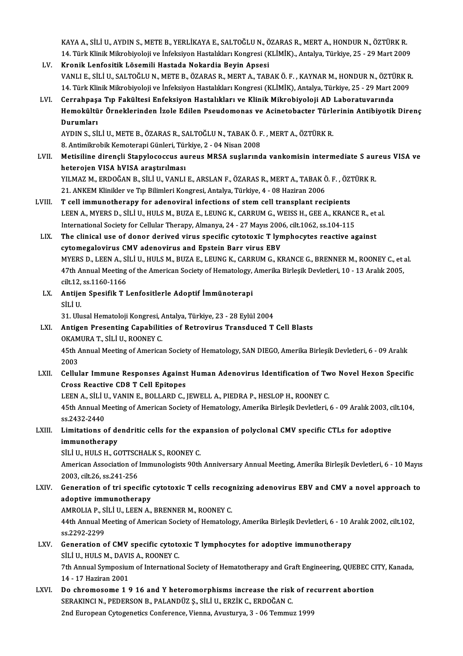KAYA A., SİLİ U., AYDIN S., METE B., YERLİKAYA E., SALTOĞLU N., ÖZARAS R., MERT A., HONDUR N., ÖZTÜRK R.<br>14. Türk Klinik Milmebiyeleji ve İnfeksiyen Hestelikler Konspesi (KLİMİK), Antekve Türkiye 25., 29 Mert 2006 KAYA A., SİLİ U., AYDIN S., METE B., YERLİKAYA E., SALTOĞLU N., ÖZARAS R., MERT A., HONDUR N., ÖZTÜRK R.<br>14. Türk Klinik Mikrobiyoloji ve İnfeksiyon Hastalıkları Kongresi (KLİMİK)., Antalya, Türkiye, 25 - 29 Mart 2009<br>Knon KAYA A., SİLİ U., AYDIN S., METE B., YERLİKAYA E., SALTOĞLU N., Ö<br>14. Türk Klinik Mikrobiyoloji ve İnfeksiyon Hastalıkları Kongresi (K<br>LV. Kronik Lenfositik Lösemili Hastada Nokardia Beyin Apsesi<br>1998 - VANUE SİLİLL SALTOĞ

- 14. Türk Klinik Mikrobiyoloji ve İnfeksiyon Hastalıkları Kongresi (KLİMİK)., Antalya, Türkiye, 25 29 Mart 2009<br><mark>Kronik Lenfositik Lösemili Hastada Nokardia Beyin Apsesi</mark><br>VANLI E., SİLİ U., SALTOĞLU N., METE B., ÖZARAS R. Kronik Lenfositik Lösemili Hastada Nokardia Beyin Apsesi<br>VANLI E., SİLİ U., SALTOĞLU N., METE B., ÖZARAS R., MERT A., TABAK Ö. F. , KAYNAR M., HONDUR N., ÖZTÜRK R<br>14. Türk Klinik Mikrobiyoloji ve İnfeksiyon Hastalıkları Ko 14. Türk Klinik Mikrobiyoloji ve İnfeksiyon Hastalıkları Kongresi (KLİMİK), Antalya, Türkiye, 25 - 29 Mart 2009<br>LVI. Cerrahpaşa Tıp Fakültesi Enfeksiyon Hastalıkları ve Klinik Mikrobiyoloji AD Laboratuvarında
- 14. Türk Klinik Mikrobiyoloji ve İnfeksiyon Hastalıkları Kongresi (KLİMİK), Antalya, Türkiye, 25 29 Mart 2009<br>Cerrahpaşa Tıp Fakültesi Enfeksiyon Hastalıkları ve Klinik Mikrobiyoloji AD Laboratuvarında<br>Hemokültür Örnekle Cerrahpaş<mark>:</mark><br>Hemokültü<br>Durumları<br>AVDIN S. Sİ Hemokültür Örneklerinden İzole Edilen Pseudomonas ve Acinetobacter Türle<br>Durumları<br>AYDIN S., SİLİ U., METE B., ÖZARAS R., SALTOĞLU N., TABAK Ö. F. , MERT A., ÖZTÜRK R.<br>8. Antimilerebik Kometereni Cünleri Türkiye 3., 04 Nis

Durumları<br>AYDIN S., SİLİ U., METE B., ÖZARAS R., SALTOĞLU N., TABAK Ö. F. , MERT A., ÖZTÜRK R.<br>8. Antimikrobik Kemoterapi Günleri, Türkiye, 2 - 04 Nisan 2008

- AYDIN S., SİLİ U., METE B., ÖZARAS R., SALTOĞLU N., TABAK Ö. F. , MERT A., ÖZTÜRK R.<br>8. Antimikrobik Kemoterapi Günleri, Türkiye, 2 04 Nisan 2008<br>LVII. Metisiline dirençli Stapylococcus aureus MRSA suşlarında vankomisin 8. Antimikrobik Kemoterapi Günleri, Tür<br>Metisiline dirençli Stapylococcus au<br>heterojen VISA hVISA araştırılması<br>VII MAZ M. ERDOČAN R. SİLİ IL VANLI Metisiline dirençli Stapylococcus aureus MRSA suşlarında vankomisin intermediate S aur<br>heterojen VISA hVISA araştırılması<br>YILMAZ M., ERDOĞAN B., SİLİ U., VANLI E., ARSLAN F., ÖZARAS R., MERT A., TABAK Ö. F. , ÖZTÜRK R.<br>21. heterojen VISA hVISA araştırılması<br>21.ANAZ M., ERDOĞAN B., SİLİ U., VANLI E., ARSLAN F., ÖZARAS R., MERT A., TABAK Ö. F. , ÖZTÜRK R.<br>21. ANKEM Klinikler ve Tıp Bilimleri Kongresi, Antalya, Türkiye, 4 - 08 Haziran 2006
- LVIII. T cell immunotherapy for adenoviral infections of stem cell transplant recipients 21. ANKEM Klinikler ve Tıp Bilimleri Kongresi, Antalya, Türkiye, 4 - 08 Haziran 2006<br>T cell immunotherapy for adenoviral infections of stem cell transplant recipients<br>LEEN A., MYERS D., SİLİ U., HULS M., BUZA E., LEUNG K., T cell immunotherapy for adenoviral infections of stem cell transplant recipients<br>LEEN A., MYERS D., SİLİ U., HULS M., BUZA E., LEUNG K., CARRUM G., WEISS H., GEE A., KRANCI<br>International Society for Cellular Therapy, Alma LEEN A., MYERS D., SİLİ U., HULS M., BUZA E., LEUNG K., CARRUM G., WEISS H., GEE A., KRANCE R., et<br>International Society for Cellular Therapy, Almanya, 24 - 27 Mayıs 2006, cilt.1062, ss.104-115<br>LIX. The clinical use of don
- International Society for Cellular Therapy, Almanya, 24 27 Mayıs 2006, cilt.1062, ss.104-115<br>The clinical use of donor derived virus specific cytotoxic T lymphocytes reactive against<br>cytomegalovirus CMV adenovirus and Ep The clinical use of donor derived virus specific cytotoxic T lymphocytes reactive against<br>cytomegalovirus CMV adenovirus and Epstein Barr virus EBV<br>MYERS D., LEEN A., SİLİ U., HULS M., BUZA E., LEUNG K., CARRUM G., KRANCE cytomegalovirus CMV adenovirus and Epstein Barr virus EBV<br>MYERS D., LEEN A., SİLİ U., HULS M., BUZA E., LEUNG K., CARRUM G., KRANCE G., BRENNER M., ROONEY C., et :<br>47th Annual Meeting of the American Society of Hematology, MYERS D., LEEN A., SI<br>47th Annual Meeting<br>cilt.12, ss.1160-1166<br>Antiion Spesifik T I 47th Annual Meeting of the American Society of Hematology,<br>cilt.12, ss.1160-1166<br>LX. Antijen Spesifik T Lenfositlerle Adoptif İmmünoterapi<br>sit i H
- cilt.12,<br><mark>Antije</mark><br>SİLİ U.<br>21. U. Antijen Spesifik T Lenfositlerle Adoptif İmmünoterapi<br>SİLİ U.<br>31. Ulusal Hematoloji Kongresi, Antalya, Türkiye, 23 - 28 Eylül 2004<br>Antigen Presenting Canabilities of Betrevinus Transdused T. SİLİ U.<br>31. Ulusal Hematoloji Kongresi, Antalya, Türkiye, 23 - 28 Eylül 2004<br>LXI. Antigen Presenting Capabilities of Retrovirus Transduced T Cell Blasts

- 31. Ulusal Hematoloji Kongresi, *k*<br>Antigen Presenting Capabilit<br>OKAMURA T., SİLİ U., ROONEY C.<br>45th Annual Meeting of America Antigen Presenting Capabilities of Retrovirus Transduced T Cell Blasts<br>OKAMURA T., SİLİ U., ROONEY C.<br>45th Annual Meeting of American Society of Hematology, SAN DIEGO, Amerika Birleşik Devletleri, 6 - 09 Aralık<br>2002 OKAMURA T., SİLİ U., ROONEY C.<br>45th Annual Meeting of American Society of Hematology, SAN DIEGO, Amerika Birleşik Devletleri, 6 - 09 Aralık<br>2003<br>LXII. Cellular Immune Responses Against Human Adenovirus Identification o
- 45th Annual Meeting of American Society of Hematology, SAN DIEGO, Amerika Birleşik Devletleri, 6 09 Aralık<br>2003<br>LXII. Cellular Immune Responses Against Human Adenovirus Identification of Two Novel Hexon Specific<br>Cross Be Cross Reactive CD8 T Cell Epitopes Cellular Immune Responses Against Human Adenovirus Identification of Tw<br>Cross Reactive CD8 T Cell Epitopes<br>LEEN A., SİLİ U., VANIN E., BOLLARD C., JEWELL A., PIEDRA P., HESLOP H., ROONEY C.<br>45th Annual Meeting of American

Cross Reactive CD8 T Cell Epitopes<br>LEEN A., SİLİ U., VANIN E., BOLLARD C., JEWELL A., PIEDRA P., HESLOP H., ROONEY C.<br>45th Annual Meeting of American Society of Hematology, Amerika Birleşik Devletleri, 6 - 09 Aralık 2003, LEEN A., SİLİ U<br>45th Annual M<br>ss.2432-2440<br>Limitatione e 45th Annual Meeting of American Society of Hematology, Amerika Birleşik Devletleri, 6 - 09 Aralık 2003, c<br>ss.2432-2440<br>LXIII. Limitations of dendritic cells for the expansion of polyclonal CMV specific CTLs for adoptiv

## ss.2432-2440<br>Limitations of dendritic cells for the eximmunotherapy<br>SiLi U., HULS H., GOTTSCHALK S., ROONEY C. LXIII. Limitations of dendritic cells for the expansion of polyclonal CMV specific CTLs for adoptive

immunotherapy<br>SİLİ U., HULS H., GOTTSCHALK S., ROONEY C.<br>American Association of Immunologists 90th Anniversary Annual Meeting, Amerika Birleşik Devletleri, 6 - 10 Mayıs<br>2003. silt 26. ss 241.256 SİLİ U., HULS H., GOTTSCI<br>American Association of<br>2003, cilt.26, ss.241-256 American Association of Immunologists 90th Anniversary Annual Meeting, Amerika Birleşik Devletleri, 6 - 10 Mayıs<br>2003, cilt.26, ss.241-256<br>LXIV. Generation of tri specific cytotoxic T cells recognizing adenovirus EBV and C

## 2003, cilt.26, ss.241-256<br>Generation of tri specific<br>adoptive immunotherapy<br>AMPOLIA P. SULU LEEN A Generation of tri specific cytotoxic T cells recognation<br>adoptive immunotherapy<br>AMROLIA P., SİLİ U., LEEN A., BRENNER M., ROONEY C.<br>44th Annual Meeting of American Society of Hemateles

AMROLIA P., SİLİ U., LEEN A., BRENNER M., ROONEY C.

adoptive immunotherapy<br>AMROLIA P., SİLİ U., LEEN A., BRENNER M., ROONEY C.<br>44th Annual Meeting of American Society of Hematology, Amerika Birleşik Devletleri, 6 - 10 Aralık 2002, cilt.102,<br>ss.2292-2299 44th Annual Meeting of American Society of Hematology, Amerika Birleşik Devletleri, 6 - 10 A<br>ss.2292-2299<br>LXV. Generation of CMV specific cytotoxic T lymphocytes for adoptive immunotherapy<br>stri U HULSM DAVIS A POONEY C

- ss.2292-2299<br>Generation of CMV specific cytote<br>SİLİ U., HULS M., DAVIS A., ROONEY C.<br>7th Annual Suppesium of Internation Generation of CMV specific cytotoxic T lymphocytes for adoptive immunotherapy<br>SİLİ U., HULS M., DAVIS A., ROONEY C.<br>7th Annual Symposium of International Society of Hematotherapy and Graft Engineering, QUEBEC CITY, Kanada, SİLİ U., HULS M., DAVIS A., ROONEY C.<br>7th Annual Symposium of International Society of Hematotherapy and Graft Engineering, QUEBEC C<br>14 - 17 Haziran 2001<br>Do chromosome 1 9 16 and Y heteromorphisms increase the risk of recu Th Annual Symposium of International Society of Hematotherapy and Graft Engineering, QUEBEC CI<br>14 - 17 Haziran 2001<br>LXVI. Do chromosome 1 9 16 and Y heteromorphisms increase the risk of recurrent abortion<br>SERAKING N. BEDER
- SERAKINCIN.,PEDERSONB.,PALANDÜZ Ş.,SİLİU.,ERZİKC.,ERDOĞANC. 2nd European Cytogenetics Conference, Vienna, Avusturya, 3 - 06 Temmuz 1999